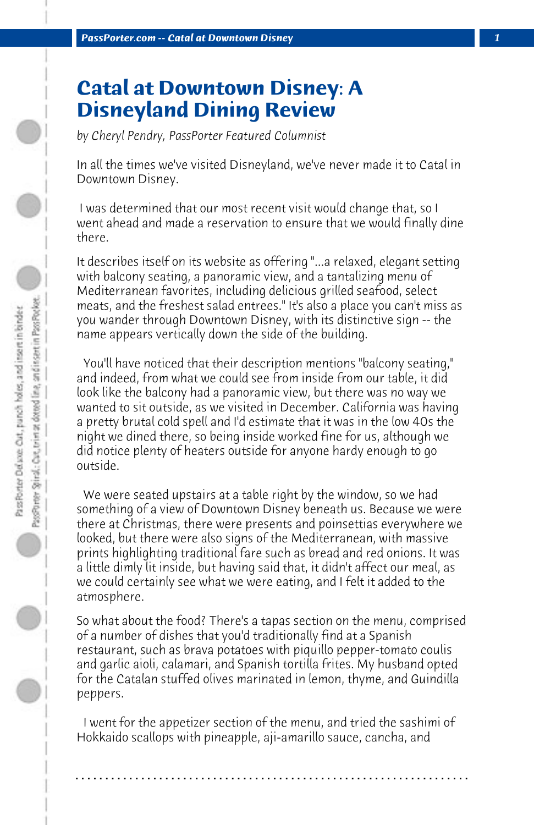## **Catal at Downtown Disney: A Disneyland Dining Review**

*by Cheryl Pendry, PassPorter Featured Columnist*

In all the times we've visited Disneyland, we've never made it to Catal in Downtown Disney.

 I was determined that our most recent visit would change that, so I went ahead and made a reservation to ensure that we would finally dine there.

It describes itself on its website as offering "...a relaxed, elegant setting with balcony seating, a panoramic view, and a tantalizing menu of Mediterranean favorites, including delicious grilled seafood, select meats, and the freshest salad entrees." It's also a place you can't miss as you wander through Downtown Disney, with its distinctive sign -- the name appears vertically down the side of the building.

 You'll have noticed that their description mentions "balcony seating," and indeed, from what we could see from inside from our table, it did look like the balcony had a panoramic view, but there was no way we wanted to sit outside, as we visited in December. California was having a pretty brutal cold spell and I'd estimate that it was in the low 40s the night we dined there, so being inside worked fine for us, although we did notice plenty of heaters outside for anyone hardy enough to go outside.

 We were seated upstairs at a table right by the window, so we had something of a view of Downtown Disney beneath us. Because we were there at Christmas, there were presents and poinsettias everywhere we looked, but there were also signs of the Mediterranean, with massive prints highlighting traditional fare such as bread and red onions. It was a little dimly lit inside, but having said that, it didn't affect our meal, as we could certainly see what we were eating, and I felt it added to the atmosphere.

So what about the food? There's a tapas section on the menu, comprised of a number of dishes that you'd traditionally find at a Spanish restaurant, such as brava potatoes with piquillo pepper-tomato coulis and garlic aioli, calamari, and Spanish tortilla frites. My husband opted for the Catalan stuffed olives marinated in lemon, thyme, and Guindilla peppers.

 I went for the appetizer section of the menu, and tried the sashimi of Hokkaido scallops with pineapple, aji-amarillo sauce, cancha, and

**. . . . . . . . . . . . . . . . . . . . . . . . . . . . . . . . . . . . . . . . . . . . . . . . . . . . . . . . . . . . . . . . . .**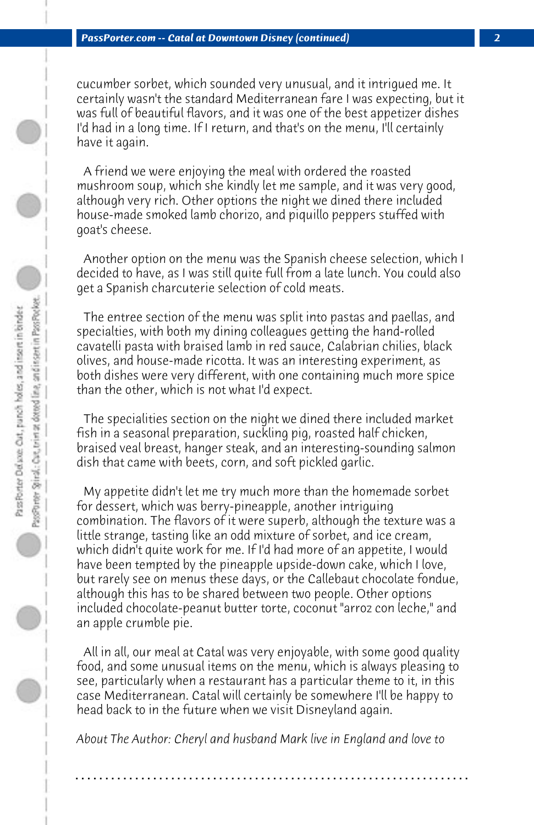cucumber sorbet, which sounded very unusual, and it intrigued me. It certainly wasn't the standard Mediterranean fare I was expecting, but it was full of beautiful flavors, and it was one of the best appetizer dishes I'd had in a long time. If I return, and that's on the menu, I'll certainly have it again.

 A friend we were enjoying the meal with ordered the roasted mushroom soup, which she kindly let me sample, and it was very good, although very rich. Other options the night we dined there included house-made smoked lamb chorizo, and piquillo peppers stuffed with goat's cheese.

 Another option on the menu was the Spanish cheese selection, which I decided to have, as I was still quite full from a late lunch. You could also get a Spanish charcuterie selection of cold meats.

 The entree section of the menu was split into pastas and paellas, and specialties, with both my dining colleagues getting the hand-rolled cavatelli pasta with braised lamb in red sauce, Calabrian chilies, black olives, and house-made ricotta. It was an interesting experiment, as both dishes were very different, with one containing much more spice than the other, which is not what I'd expect.

 The specialities section on the night we dined there included market fish in a seasonal preparation, suckling pig, roasted half chicken, braised veal breast, hanger steak, and an interesting-sounding salmon dish that came with beets, corn, and soft pickled garlic.

 My appetite didn't let me try much more than the homemade sorbet for dessert, which was berry-pineapple, another intriguing combination. The flavors of it were superb, although the texture was a little strange, tasting like an odd mixture of sorbet, and ice cream, which didn't quite work for me. If I'd had more of an appetite, I would have been tempted by the pineapple upside-down cake, which I love, but rarely see on menus these days, or the Callebaut chocolate fondue, although this has to be shared between two people. Other options included chocolate-peanut butter torte, coconut "arroz con leche," and an apple crumble pie.

 All in all, our meal at Catal was very enjoyable, with some good quality food, and some unusual items on the menu, which is always pleasing to see, particularly when a restaurant has a particular theme to it, in this case Mediterranean. Catal will certainly be somewhere I'll be happy to head back to in the future when we visit Disneyland again.

*About The Author: Cheryl and husband Mark live in England and love to*

**. . . . . . . . . . . . . . . . . . . . . . . . . . . . . . . . . . . . . . . . . . . . . . . . . . . . . . . . . . . . . . . . . .**